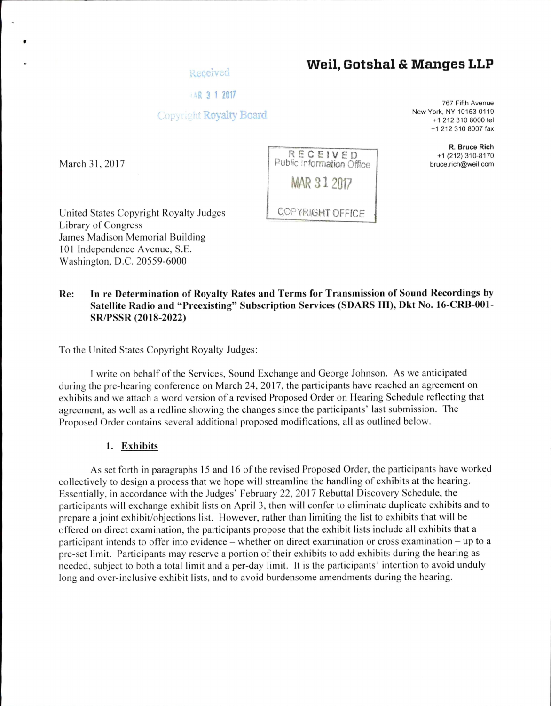# **Weil, Gotshal & Manges LLP**

## *IAR 3 1 2017*

# Copyright Royalty Board

March 31, 2017

767 Fifth Avenue New York, NY 10163-0119 +1 212 310 8000 tel +1 212 310 8007 fax

> R. Bruce Rich +1 (212) 310-8170 bruce.rich@weil.com



United States Copyright Royalty Judges Library of Congress James Madison Memorial Building 101 Independence Avenue, S.E. Washington, D.C. 20559-6000

# Re: In re Determination of Royalty Rates and Terms for Transmission of Sound Recordings by Satellite Radio and "Preexisting" Subscription Services (SDARS III), Dkt No. 16-CRB-001- SR/PSSR (2018-2022)

To the United States Copyright Royalty Judges:

<sup>I</sup> write on behalf ofthe Services, Sound Exchange and George Johnson. As we anticipated during the pre-hearing conference on March 24 2017 the participants have reached an agreement on exhibits and we attach a word version of a revised Proposed Order on Hearing Schedule reflecting that agreement, as well as a redline showing the changes since the participants' last submission. The Proposed Order contains several additional proposed modifications, all as outlined below.

#### 1. Exhibits

As set forth in paragraphs 15 and 16 of the revised Proposed Order, the participants have worked collectively to design a process that we hope will streamline the handling of exhibits at the hearing. Essentially, in accordance with the Judges' February 22, 2017 Rebuttal Discovery Schedule, the Essentially, in accordance with the Judges February 22, 2017 Rebuttal Discovery Schedule, the<br>participants will exchange exhibit lists on April 3, then will confer to eliminate duplicate exhibits and to prepare a joint exhibit/objections list. However, rather than limiting the list to exhibits that will be offered on direct examination, the participants propose that the exhibit lists include all exhibits that a participant intends to offer into evidence – whether on direct examination or cross examination – up to a pre-set limit. Participants may reserve a portion of their exhibits to add exhibits during the hearing as needed, subject to both a total limit and a per-day limit. It is the participants' intention to avoid unduly long and over-inclusive exhibit lists, and to avoid burdensome amendments during the hearing.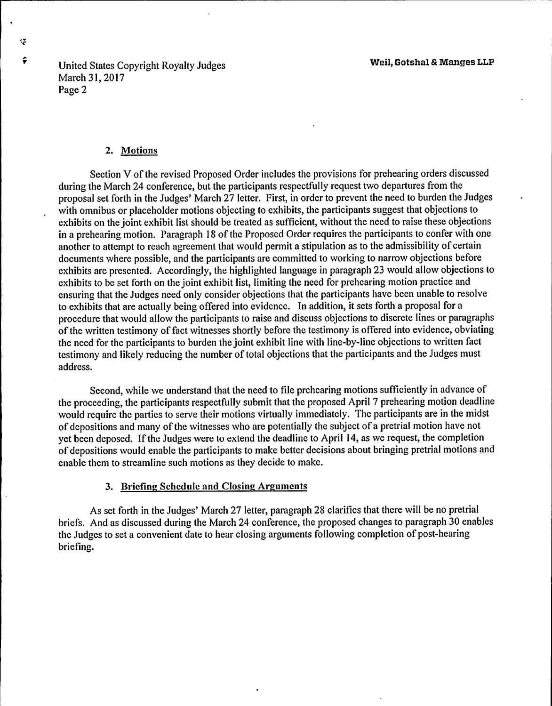United States Copyright Royalty Judges March 31, 2017 Page 2

### 2. Motions

Section V of the revised Proposed Order includes the provisions for prehearing orders discussed during the March 24 conference, but the participants respectfully request two departures from the proposal set forth in the Judges' March 27 letter. First, in order to prevent the need to burden the Judges with omnibus or placeholder motions objecting to exhibits, the participants suggest that objections to exhibits on the joint exhibit list should be treated as sufficient, without the need to raise these objections in a prehearing motion. Paragraph 18 of the Proposed Order requires the participants to confer with one another to attempt to reach agreement that would permit a stipulation as to the admissibility of certain documents where possible, and the participants are committed to working to narrow objections before exhibits are presented. Accordingly, the highlighted language in paragraph 23 would allow objections to exhibits to be set forth on the joint exhibit list, limiting the need for prehearing motion practice and ensuring that the Judges need only consider objections that the participants have been unable to resolve to exhibits that are actually being offered into evidence. In addition, it sets forth a proposal for a procedure that would allow the participants to raise and discuss objections to discrete lines or paragraphs of the written testimony of fact witnesses shortly before the testimony is offered into evidence, obviating the need for the participants to burden the joint exhibit line with line-by-line objections to written fact testimony and likely reducing the number of total objections that the participants and the Judges must address.

Second, while we understand that the need to file prehearing motions sufficiently in advance of the proceeding, the participants respectfully submit that the proposed April 7 prehearing motion deadline would require the parties to serve their motions virtually immediately. The participants are in the midst of depositions and many of the witnesses who are potentially the subject of a pretrial motion have not yet been deposed. If the Judges were to extend the deadline to April 14, as we request, the completion of depositions would enable the participants to make better decisions about bringing pretrial motions and enable them to streamline such motions as they decide to make.

# 3. Briefing Schedule and Closing Arguments

As set forth in the Judges' March 27 letter, paragraph 28 clarifies that there will be no pretrial briefs. And as discussed during the March 24 conference, the proposed changes to paragraph 30 enables the Judges to set a convenient date to hear closing arguments following completion of post-hearing briefing.